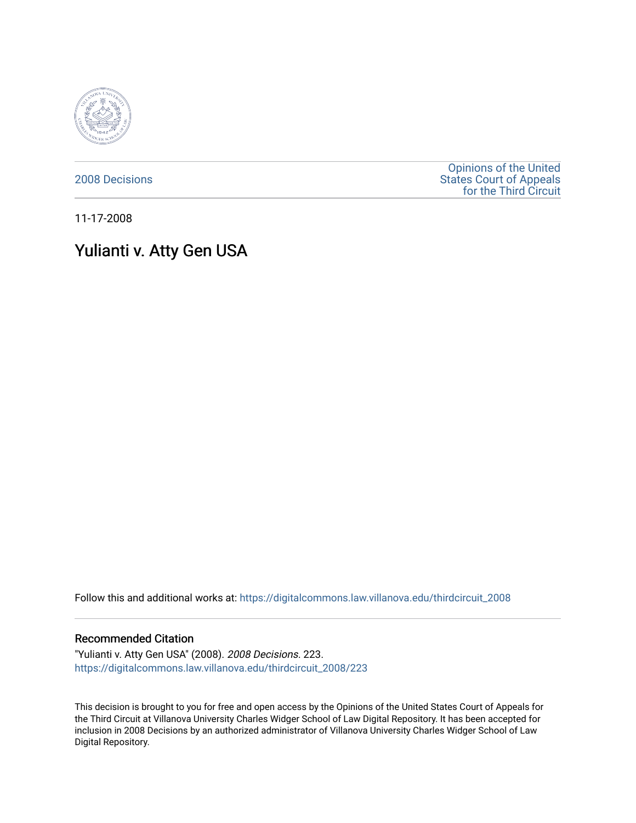

[2008 Decisions](https://digitalcommons.law.villanova.edu/thirdcircuit_2008)

[Opinions of the United](https://digitalcommons.law.villanova.edu/thirdcircuit)  [States Court of Appeals](https://digitalcommons.law.villanova.edu/thirdcircuit)  [for the Third Circuit](https://digitalcommons.law.villanova.edu/thirdcircuit) 

11-17-2008

# Yulianti v. Atty Gen USA

Follow this and additional works at: [https://digitalcommons.law.villanova.edu/thirdcircuit\\_2008](https://digitalcommons.law.villanova.edu/thirdcircuit_2008?utm_source=digitalcommons.law.villanova.edu%2Fthirdcircuit_2008%2F223&utm_medium=PDF&utm_campaign=PDFCoverPages) 

### Recommended Citation

"Yulianti v. Atty Gen USA" (2008). 2008 Decisions. 223. [https://digitalcommons.law.villanova.edu/thirdcircuit\\_2008/223](https://digitalcommons.law.villanova.edu/thirdcircuit_2008/223?utm_source=digitalcommons.law.villanova.edu%2Fthirdcircuit_2008%2F223&utm_medium=PDF&utm_campaign=PDFCoverPages)

This decision is brought to you for free and open access by the Opinions of the United States Court of Appeals for the Third Circuit at Villanova University Charles Widger School of Law Digital Repository. It has been accepted for inclusion in 2008 Decisions by an authorized administrator of Villanova University Charles Widger School of Law Digital Repository.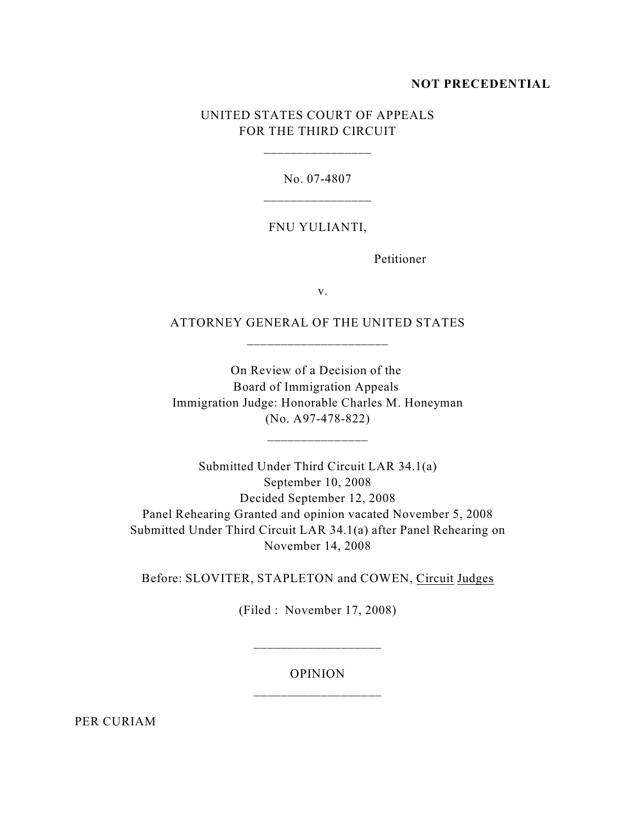### **NOT PRECEDENTIAL**

## UNITED STATES COURT OF APPEALS FOR THE THIRD CIRCUIT

\_\_\_\_\_\_\_\_\_\_\_\_\_\_\_\_

No. 07-4807

#### FNU YULIANTI,

Petitioner

v.

ATTORNEY GENERAL OF THE UNITED STATES \_\_\_\_\_\_\_\_\_\_\_\_\_\_\_\_\_\_\_\_\_

On Review of a Decision of the Board of Immigration Appeals Immigration Judge: Honorable Charles M. Honeyman (No. A97-478-822)

\_\_\_\_\_\_\_\_\_\_\_\_\_\_\_

Submitted Under Third Circuit LAR 34.1(a) September 10, 2008 Decided September 12, 2008 Panel Rehearing Granted and opinion vacated November 5, 2008 Submitted Under Third Circuit LAR 34.1(a) after Panel Rehearing on November 14, 2008

Before: SLOVITER, STAPLETON and COWEN, Circuit Judges

(Filed : November 17, 2008)

## OPINION \_\_\_\_\_\_\_\_\_\_\_\_\_\_\_\_\_\_\_

\_\_\_\_\_\_\_\_\_\_\_\_\_\_\_\_\_\_\_

PER CURIAM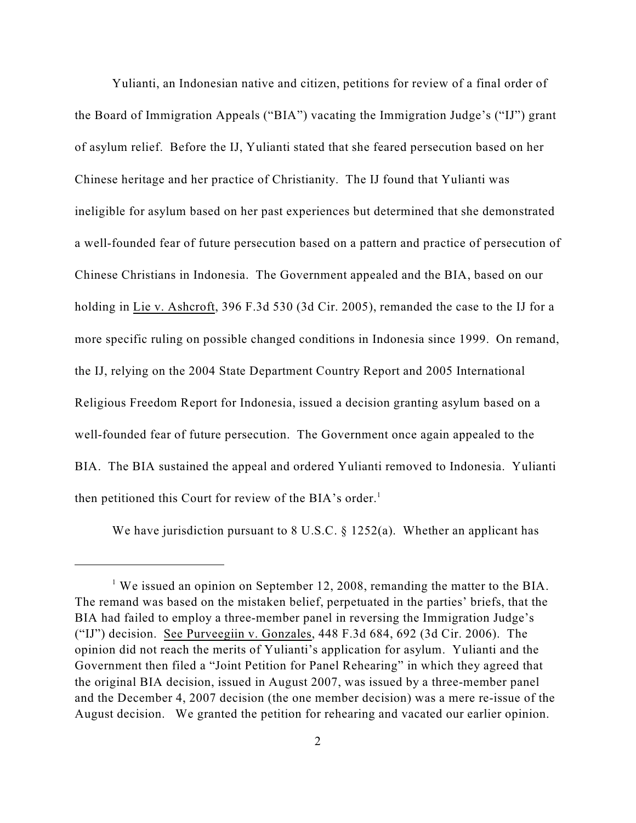Yulianti, an Indonesian native and citizen, petitions for review of a final order of the Board of Immigration Appeals ("BIA") vacating the Immigration Judge's ("IJ") grant of asylum relief. Before the IJ, Yulianti stated that she feared persecution based on her Chinese heritage and her practice of Christianity. The IJ found that Yulianti was ineligible for asylum based on her past experiences but determined that she demonstrated a well-founded fear of future persecution based on a pattern and practice of persecution of Chinese Christians in Indonesia. The Government appealed and the BIA, based on our holding in Lie v. Ashcroft, 396 F.3d 530 (3d Cir. 2005), remanded the case to the IJ for a more specific ruling on possible changed conditions in Indonesia since 1999. On remand, the IJ, relying on the 2004 State Department Country Report and 2005 International Religious Freedom Report for Indonesia, issued a decision granting asylum based on a well-founded fear of future persecution. The Government once again appealed to the BIA. The BIA sustained the appeal and ordered Yulianti removed to Indonesia. Yulianti then petitioned this Court for review of the BIA's order.<sup>1</sup>

We have jurisdiction pursuant to 8 U.S.C. § 1252(a). Whether an applicant has

<sup>&</sup>lt;sup>1</sup> We issued an opinion on September 12, 2008, remanding the matter to the BIA. The remand was based on the mistaken belief, perpetuated in the parties' briefs, that the BIA had failed to employ a three-member panel in reversing the Immigration Judge's ("IJ") decision. See Purveegiin v. Gonzales, 448 F.3d 684, 692 (3d Cir. 2006). The opinion did not reach the merits of Yulianti's application for asylum. Yulianti and the Government then filed a "Joint Petition for Panel Rehearing" in which they agreed that the original BIA decision, issued in August 2007, was issued by a three-member panel and the December 4, 2007 decision (the one member decision) was a mere re-issue of the August decision. We granted the petition for rehearing and vacated our earlier opinion.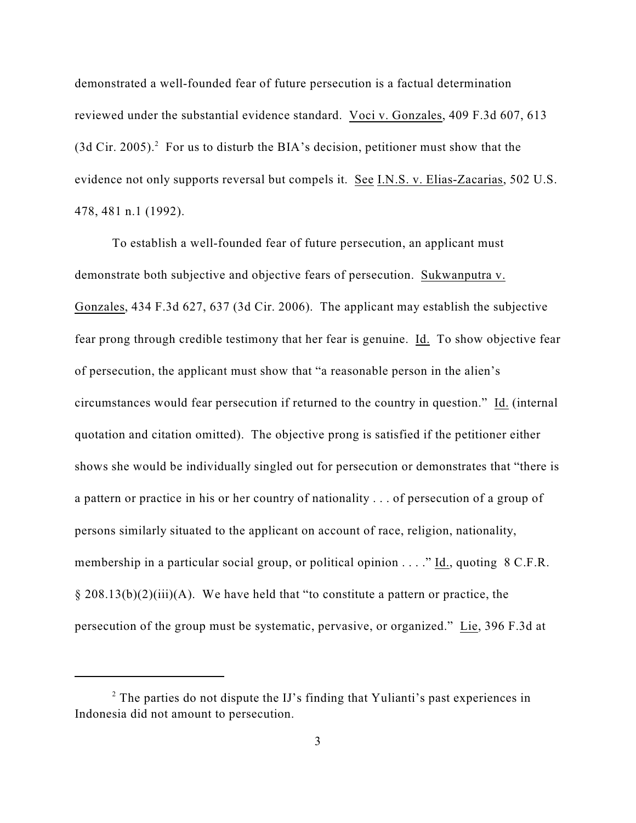demonstrated a well-founded fear of future persecution is a factual determination reviewed under the substantial evidence standard. Voci v. Gonzales, 409 F.3d 607, 613  $(3d$  Cir. 2005).<sup>2</sup> For us to disturb the BIA's decision, petitioner must show that the evidence not only supports reversal but compels it. See I.N.S. v. Elias-Zacarias, 502 U.S. 478, 481 n.1 (1992).

To establish a well-founded fear of future persecution, an applicant must demonstrate both subjective and objective fears of persecution. Sukwanputra v. Gonzales, 434 F.3d 627, 637 (3d Cir. 2006). The applicant may establish the subjective fear prong through credible testimony that her fear is genuine. Id. To show objective fear of persecution, the applicant must show that "a reasonable person in the alien's circumstances would fear persecution if returned to the country in question." Id. (internal quotation and citation omitted). The objective prong is satisfied if the petitioner either shows she would be individually singled out for persecution or demonstrates that "there is a pattern or practice in his or her country of nationality . . . of persecution of a group of persons similarly situated to the applicant on account of race, religion, nationality, membership in a particular social group, or political opinion . . . ." Id., quoting 8 C.F.R.  $\S 208.13(b)(2)(iii)(A)$ . We have held that "to constitute a pattern or practice, the persecution of the group must be systematic, pervasive, or organized." Lie, 396 F.3d at

 $2$  The parties do not dispute the IJ's finding that Yulianti's past experiences in Indonesia did not amount to persecution.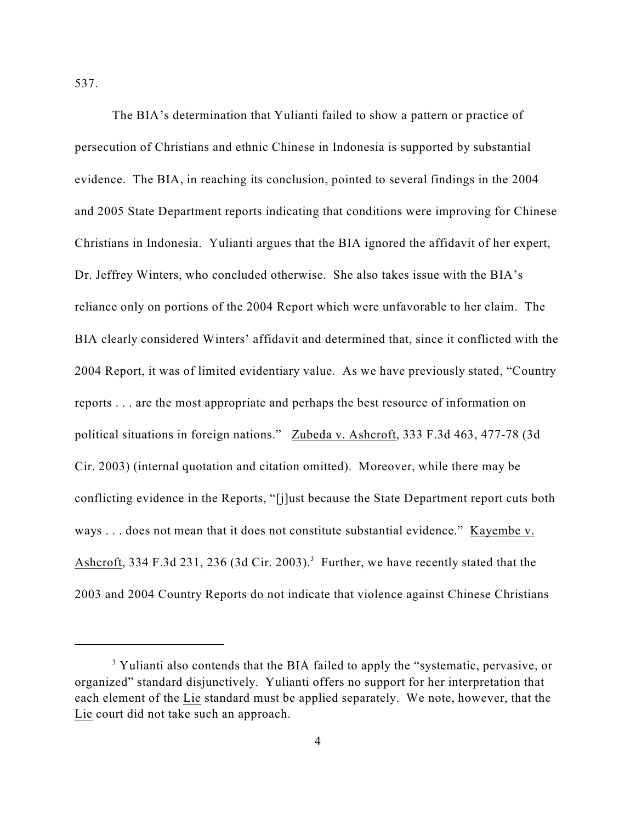537.

The BIA's determination that Yulianti failed to show a pattern or practice of persecution of Christians and ethnic Chinese in Indonesia is supported by substantial evidence. The BIA, in reaching its conclusion, pointed to several findings in the 2004 and 2005 State Department reports indicating that conditions were improving for Chinese Christians in Indonesia. Yulianti argues that the BIA ignored the affidavit of her expert, Dr. Jeffrey Winters, who concluded otherwise. She also takes issue with the BIA's reliance only on portions of the 2004 Report which were unfavorable to her claim. The BIA clearly considered Winters' affidavit and determined that, since it conflicted with the 2004 Report, it was of limited evidentiary value. As we have previously stated, "Country reports . . . are the most appropriate and perhaps the best resource of information on political situations in foreign nations." Zubeda v. Ashcroft, 333 F.3d 463, 477-78 (3d Cir. 2003) (internal quotation and citation omitted). Moreover, while there may be conflicting evidence in the Reports, "[j]ust because the State Department report cuts both ways . . . does not mean that it does not constitute substantial evidence." Kayembe v. Ashcroft, 334 F.3d 231, 236 (3d Cir. 2003).<sup>3</sup> Further, we have recently stated that the 2003 and 2004 Country Reports do not indicate that violence against Chinese Christians

<sup>&</sup>lt;sup>3</sup> Yulianti also contends that the BIA failed to apply the "systematic, pervasive, or organized" standard disjunctively. Yulianti offers no support for her interpretation that each element of the Lie standard must be applied separately. We note, however, that the Lie court did not take such an approach.